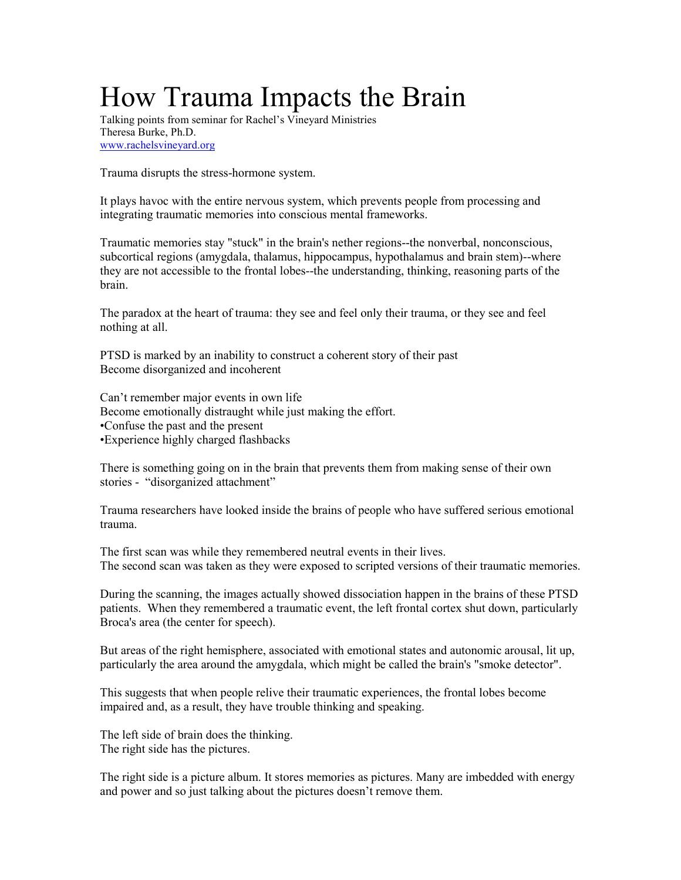## How Trauma Impacts the Brain

Talking points from seminar for Rachel's Vineyard Ministries Theresa Burke, Ph.D. www.rachelsvineyard.org

Trauma disrupts the stress-hormone system.

It plays havoc with the entire nervous system, which prevents people from processing and integrating traumatic memories into conscious mental frameworks.

Traumatic memories stay "stuck" in the brain's nether regions--the nonverbal, nonconscious, subcortical regions (amygdala, thalamus, hippocampus, hypothalamus and brain stem)--where they are not accessible to the frontal lobes--the understanding, thinking, reasoning parts of the brain.

The paradox at the heart of trauma: they see and feel only their trauma, or they see and feel nothing at all.

PTSD is marked by an inability to construct a coherent story of their past Become disorganized and incoherent

Can't remember major events in own life Become emotionally distraught while just making the effort. •Confuse the past and the present •Experience highly charged flashbacks

There is something going on in the brain that prevents them from making sense of their own stories - "disorganized attachment"

Trauma researchers have looked inside the brains of people who have suffered serious emotional trauma.

The first scan was while they remembered neutral events in their lives. The second scan was taken as they were exposed to scripted versions of their traumatic memories.

During the scanning, the images actually showed dissociation happen in the brains of these PTSD patients. When they remembered a traumatic event, the left frontal cortex shut down, particularly Broca's area (the center for speech).

But areas of the right hemisphere, associated with emotional states and autonomic arousal, lit up, particularly the area around the amygdala, which might be called the brain's "smoke detector".

This suggests that when people relive their traumatic experiences, the frontal lobes become impaired and, as a result, they have trouble thinking and speaking.

The left side of brain does the thinking. The right side has the pictures.

The right side is a picture album. It stores memories as pictures. Many are imbedded with energy and power and so just talking about the pictures doesn't remove them.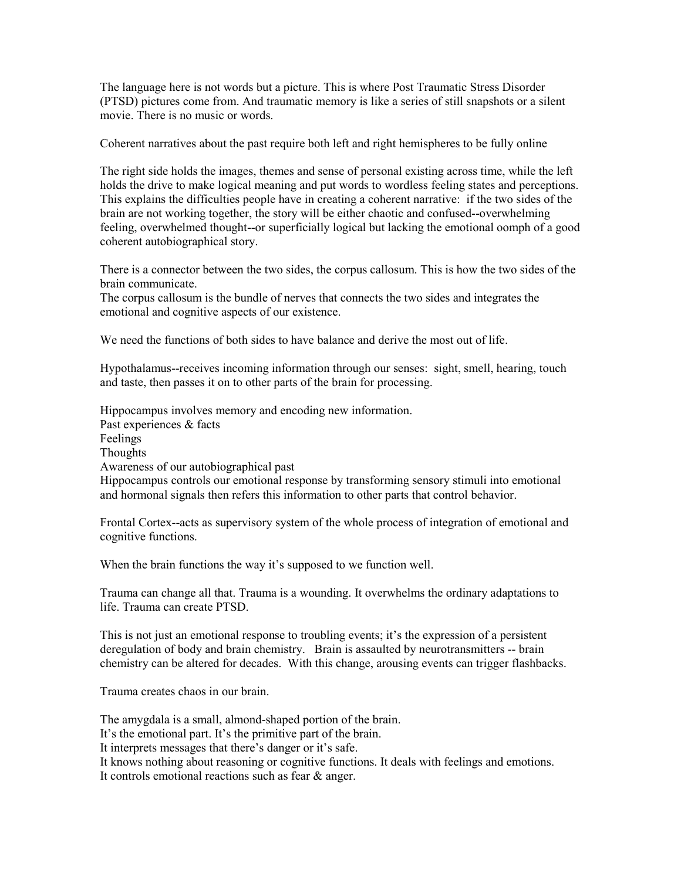The language here is not words but a picture. This is where Post Traumatic Stress Disorder (PTSD) pictures come from. And traumatic memory is like a series of still snapshots or a silent movie. There is no music or words.

Coherent narratives about the past require both left and right hemispheres to be fully online

The right side holds the images, themes and sense of personal existing across time, while the left holds the drive to make logical meaning and put words to wordless feeling states and perceptions. This explains the difficulties people have in creating a coherent narrative: if the two sides of the brain are not working together, the story will be either chaotic and confused--overwhelming feeling, overwhelmed thought--or superficially logical but lacking the emotional oomph of a good coherent autobiographical story.

There is a connector between the two sides, the corpus callosum. This is how the two sides of the brain communicate.

The corpus callosum is the bundle of nerves that connects the two sides and integrates the emotional and cognitive aspects of our existence.

We need the functions of both sides to have balance and derive the most out of life.

Hypothalamus--receives incoming information through our senses: sight, smell, hearing, touch and taste, then passes it on to other parts of the brain for processing.

Hippocampus involves memory and encoding new information. Past experiences & facts Feelings Thoughts Awareness of our autobiographical past Hippocampus controls our emotional response by transforming sensory stimuli into emotional and hormonal signals then refers this information to other parts that control behavior.

Frontal Cortex--acts as supervisory system of the whole process of integration of emotional and cognitive functions.

When the brain functions the way it's supposed to we function well.

Trauma can change all that. Trauma is a wounding. It overwhelms the ordinary adaptations to life. Trauma can create PTSD.

This is not just an emotional response to troubling events; it's the expression of a persistent deregulation of body and brain chemistry. Brain is assaulted by neurotransmitters -- brain chemistry can be altered for decades. With this change, arousing events can trigger flashbacks.

Trauma creates chaos in our brain.

The amygdala is a small, almond-shaped portion of the brain.

It's the emotional part. It's the primitive part of the brain.

It interprets messages that there's danger or it's safe.

It knows nothing about reasoning or cognitive functions. It deals with feelings and emotions.

It controls emotional reactions such as fear & anger.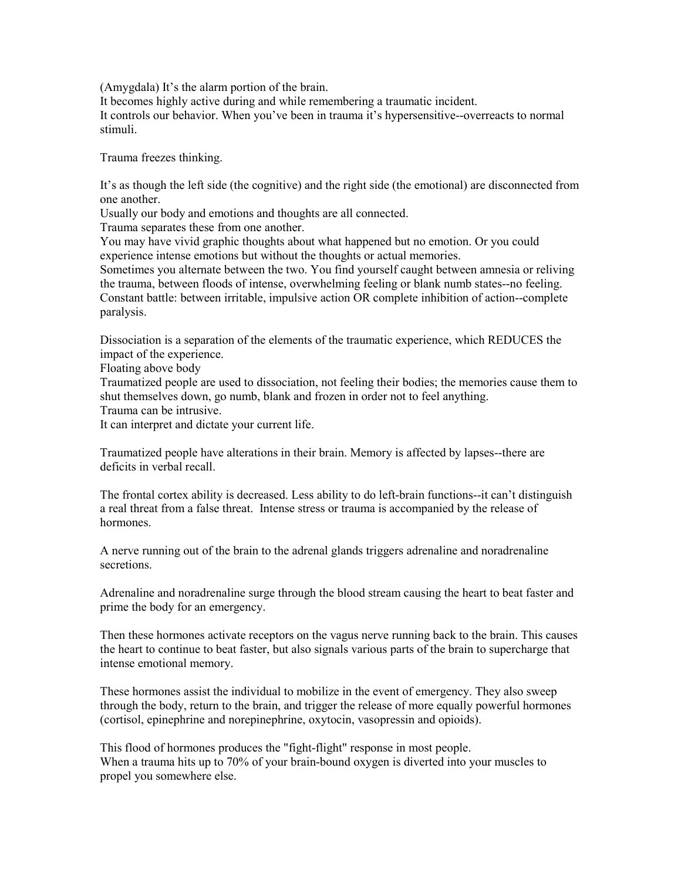(Amygdala) It's the alarm portion of the brain.

It becomes highly active during and while remembering a traumatic incident. It controls our behavior. When you've been in trauma it's hypersensitive--overreacts to normal stimuli.

Trauma freezes thinking.

It's as though the left side (the cognitive) and the right side (the emotional) are disconnected from one another.

Usually our body and emotions and thoughts are all connected.

Trauma separates these from one another.

You may have vivid graphic thoughts about what happened but no emotion. Or you could experience intense emotions but without the thoughts or actual memories.

Sometimes you alternate between the two. You find yourself caught between amnesia or reliving the trauma, between floods of intense, overwhelming feeling or blank numb states--no feeling. Constant battle: between irritable, impulsive action OR complete inhibition of action--complete paralysis.

Dissociation is a separation of the elements of the traumatic experience, which REDUCES the impact of the experience.

Floating above body

Traumatized people are used to dissociation, not feeling their bodies; the memories cause them to shut themselves down, go numb, blank and frozen in order not to feel anything.

Trauma can be intrusive.

It can interpret and dictate your current life.

Traumatized people have alterations in their brain. Memory is affected by lapses--there are deficits in verbal recall.

The frontal cortex ability is decreased. Less ability to do left-brain functions--it can't distinguish a real threat from a false threat. Intense stress or trauma is accompanied by the release of hormones.

A nerve running out of the brain to the adrenal glands triggers adrenaline and noradrenaline secretions.

Adrenaline and noradrenaline surge through the blood stream causing the heart to beat faster and prime the body for an emergency.

Then these hormones activate receptors on the vagus nerve running back to the brain. This causes the heart to continue to beat faster, but also signals various parts of the brain to supercharge that intense emotional memory.

These hormones assist the individual to mobilize in the event of emergency. They also sweep through the body, return to the brain, and trigger the release of more equally powerful hormones (cortisol, epinephrine and norepinephrine, oxytocin, vasopressin and opioids).

This flood of hormones produces the "fight-flight" response in most people. When a trauma hits up to 70% of your brain-bound oxygen is diverted into your muscles to propel you somewhere else.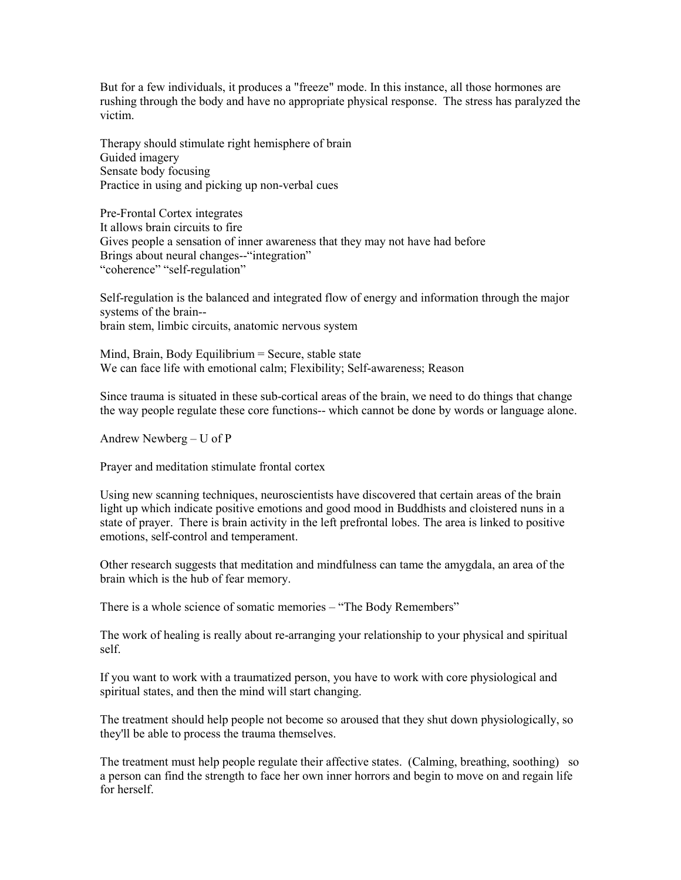But for a few individuals, it produces a "freeze" mode. In this instance, all those hormones are rushing through the body and have no appropriate physical response. The stress has paralyzed the victim.

Therapy should stimulate right hemisphere of brain Guided imagery Sensate body focusing Practice in using and picking up non-verbal cues

Pre-Frontal Cortex integrates It allows brain circuits to fire Gives people a sensation of inner awareness that they may not have had before Brings about neural changes--"integration" "coherence" "self-regulation"

Self-regulation is the balanced and integrated flow of energy and information through the major systems of the brain- brain stem, limbic circuits, anatomic nervous system

Mind, Brain, Body Equilibrium = Secure, stable state We can face life with emotional calm; Flexibility; Self-awareness; Reason

Since trauma is situated in these sub-cortical areas of the brain, we need to do things that change the way people regulate these core functions-- which cannot be done by words or language alone.

Andrew Newberg – U of P

Prayer and meditation stimulate frontal cortex

Using new scanning techniques, neuroscientists have discovered that certain areas of the brain light up which indicate positive emotions and good mood in Buddhists and cloistered nuns in a state of prayer. There is brain activity in the left prefrontal lobes. The area is linked to positive emotions, self-control and temperament.

Other research suggests that meditation and mindfulness can tame the amygdala, an area of the brain which is the hub of fear memory.

There is a whole science of somatic memories – "The Body Remembers"

The work of healing is really about re-arranging your relationship to your physical and spiritual self.

If you want to work with a traumatized person, you have to work with core physiological and spiritual states, and then the mind will start changing.

The treatment should help people not become so aroused that they shut down physiologically, so they'll be able to process the trauma themselves.

The treatment must help people regulate their affective states. (Calming, breathing, soothing) so a person can find the strength to face her own inner horrors and begin to move on and regain life for herself.